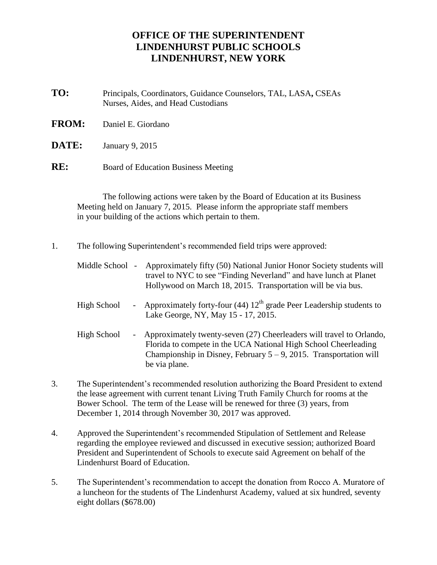## **OFFICE OF THE SUPERINTENDENT LINDENHURST PUBLIC SCHOOLS LINDENHURST, NEW YORK**

- **TO:** Principals, Coordinators, Guidance Counselors, TAL, LASA**,** CSEAs Nurses, Aides, and Head Custodians
- **FROM:** Daniel E. Giordano
- **DATE:** January 9, 2015
- **RE:** Board of Education Business Meeting

The following actions were taken by the Board of Education at its Business Meeting held on January 7, 2015. Please inform the appropriate staff members in your building of the actions which pertain to them.

1. The following Superintendent's recommended field trips were approved:

|  | Middle School - Approximately fifty (50) National Junior Honor Society students will |
|--|--------------------------------------------------------------------------------------|
|  | travel to NYC to see "Finding Neverland" and have lunch at Planet                    |
|  | Hollywood on March 18, 2015. Transportation will be via bus.                         |
|  |                                                                                      |

- High School Approximately forty-four (44)  $12<sup>th</sup>$  grade Peer Leadership students to Lake George, NY, May 15 - 17, 2015.
- High School Approximately twenty-seven (27) Cheerleaders will travel to Orlando, Florida to compete in the UCA National High School Cheerleading Championship in Disney, February  $5 - 9$ , 2015. Transportation will be via plane.
- 3. The Superintendent's recommended resolution authorizing the Board President to extend the lease agreement with current tenant Living Truth Family Church for rooms at the Bower School. The term of the Lease will be renewed for three (3) years, from December 1, 2014 through November 30, 2017 was approved.
- 4. Approved the Superintendent's recommended Stipulation of Settlement and Release regarding the employee reviewed and discussed in executive session; authorized Board President and Superintendent of Schools to execute said Agreement on behalf of the Lindenhurst Board of Education.
- 5. The Superintendent's recommendation to accept the donation from Rocco A. Muratore of a luncheon for the students of The Lindenhurst Academy, valued at six hundred, seventy eight dollars (\$678.00)